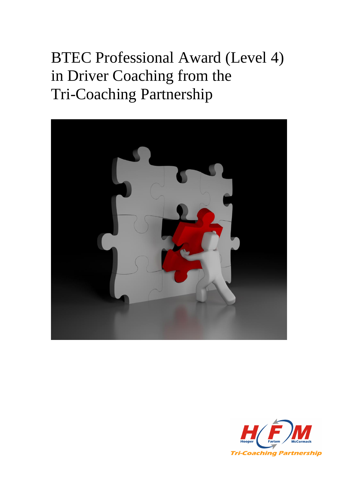# BTEC Professional Award (Level 4) in Driver Coaching from the Tri-Coaching Partnership



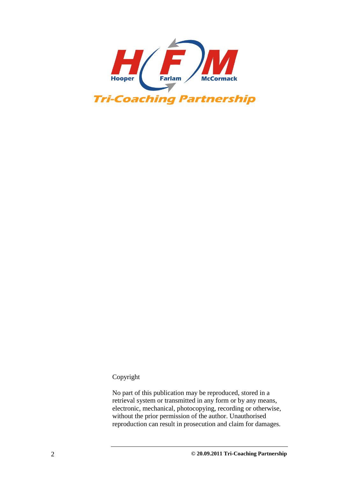

#### Copyright

No part of this publication may be reproduced, stored in a retrieval system or transmitted in any form or by any means, electronic, mechanical, photocopying, recording or otherwise, without the prior permission of the author. Unauthorised reproduction can result in prosecution and claim for damages.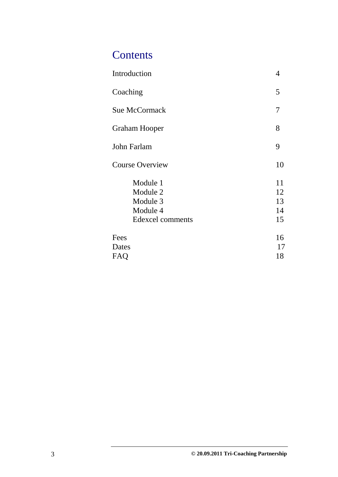# **Contents**

| Introduction                                                     | 4                          |
|------------------------------------------------------------------|----------------------------|
| Coaching                                                         | 5                          |
| <b>Sue McCormack</b>                                             | 7                          |
| Graham Hooper                                                    | 8                          |
| John Farlam                                                      | 9                          |
| <b>Course Overview</b>                                           | 10                         |
| Module 1<br>Module 2<br>Module 3<br>Module 4<br>Edexcel comments | 11<br>12<br>13<br>14<br>15 |
| Fees<br>Dates<br><b>FAQ</b>                                      | 16<br>17<br>18             |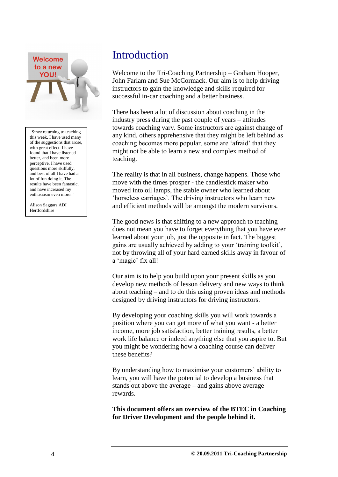

"Since returning to teaching this week, I have used many of the suggestions that arose, with great effect. I have found that I have listened better, and been more perceptive. I have used questions more skilfully, and best of all I have had a lot of fun doing it. The results have been fantastic, and have increased my enthusiasm even more."

Alison Saggars ADI **Hertfordshire** 

# **Introduction**

Welcome to the Tri-Coaching Partnership – Graham Hooper, John Farlam and Sue McCormack. Our aim is to help driving instructors to gain the knowledge and skills required for successful in-car coaching and a better business.

There has been a lot of discussion about coaching in the industry press during the past couple of years – attitudes towards coaching vary. Some instructors are against change of any kind, others apprehensive that they might be left behind as coaching becomes more popular, some are "afraid" that they might not be able to learn a new and complex method of teaching.

The reality is that in all business, change happens. Those who move with the times prosper - the candlestick maker who moved into oil lamps, the stable owner who learned about "horseless carriages". The driving instructors who learn new and efficient methods will be amongst the modern survivors.

The good news is that shifting to a new approach to teaching does not mean you have to forget everything that you have ever learned about your job, just the opposite in fact. The biggest gains are usually achieved by adding to your "training toolkit", not by throwing all of your hard earned skills away in favour of a 'magic' fix all!

Our aim is to help you build upon your present skills as you develop new methods of lesson delivery and new ways to think about teaching – and to do this using proven ideas and methods designed by driving instructors for driving instructors.

By developing your coaching skills you will work towards a position where you can get more of what you want - a better income, more job satisfaction, better training results, a better work life balance or indeed anything else that you aspire to. But you might be wondering how a coaching course can deliver these benefits?

By understanding how to maximise your customers' ability to learn, you will have the potential to develop a business that stands out above the average – and gains above average rewards.

**This document offers an overview of the BTEC in Coaching for Driver Development and the people behind it.**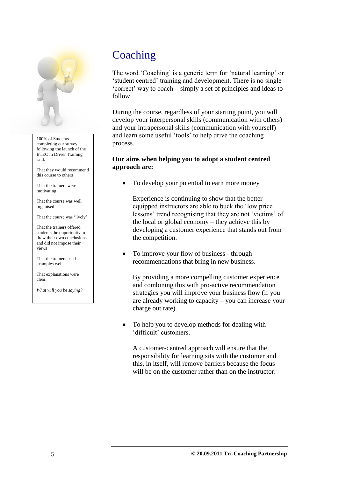

100% of Students completing our survey following the launch of the BTEC in Driver Training said:

That they would recommend this course to others

That the trainers were motivating

That the course was well organised

That the course was 'lively'

That the trainers offered students the opportunity to draw their own conclusions and did not impose their views

That the trainers used examples well

That explanations were clear.

*What will you be saying?*

# **Coaching**

The word 'Coaching' is a generic term for 'natural learning' or "student centred" training and development. There is no single "correct" way to coach – simply a set of principles and ideas to follow.

During the course, regardless of your starting point, you will develop your interpersonal skills (communication with others) and your intrapersonal skills (communication with yourself) and learn some useful "tools" to help drive the coaching process.

### **Our aims when helping you to adopt a student centred approach are:**

To develop your potential to earn more money

Experience is continuing to show that the better equipped instructors are able to buck the "low price lessons' trend recognising that they are not 'victims' of the local or global economy – they achieve this by developing a customer experience that stands out from the competition.

• To improve your flow of business - through recommendations that bring in new business.

By providing a more compelling customer experience and combining this with pro-active recommendation strategies you will improve your business flow (if you are already working to capacity – you can increase your charge out rate).

 To help you to develop methods for dealing with "difficult" customers.

A customer-centred approach will ensure that the responsibility for learning sits with the customer and this, in itself, will remove barriers because the focus will be on the customer rather than on the instructor.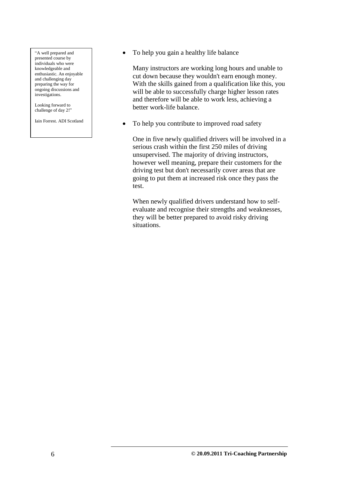"A well prepared and presented course by individuals who were knowledgeable and enthusiastic. An enjoyable and challenging day preparing the way for ongoing discussions and investigations.

Looking forward to challenge of day 2!"

Iain Forrest. ADI Scotland

• To help you gain a healthy life balance

Many instructors are working long hours and unable to cut down because they wouldn't earn enough money. With the skills gained from a qualification like this, you will be able to successfully charge higher lesson rates and therefore will be able to work less, achieving a better work-life balance.

• To help you contribute to improved road safety

One in five newly qualified drivers will be involved in a serious crash within the first 250 miles of driving unsupervised. The majority of driving instructors, however well meaning, prepare their customers for the driving test but don't necessarily cover areas that are going to put them at increased risk once they pass the test.

When newly qualified drivers understand how to selfevaluate and recognise their strengths and weaknesses, they will be better prepared to avoid risky driving situations.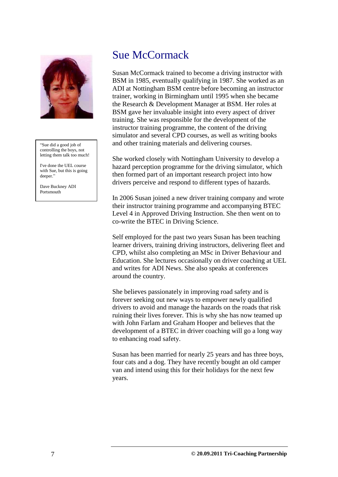

"Sue did a good job of controlling the boys, not letting them talk too much!

I've done the UEL course with Sue, but this is going deeper."

Dave Buckney ADI Portsmouth

### Sue McCormack

Susan McCormack trained to become a driving instructor with BSM in 1985, eventually qualifying in 1987. She worked as an ADI at Nottingham BSM centre before becoming an instructor trainer, working in Birmingham until 1995 when she became the Research & Development Manager at BSM. Her roles at BSM gave her invaluable insight into every aspect of driver training. She was responsible for the development of the instructor training programme, the content of the driving simulator and several CPD courses, as well as writing books and other training materials and delivering courses.

She worked closely with Nottingham University to develop a hazard perception programme for the driving simulator, which then formed part of an important research project into how drivers perceive and respond to different types of hazards.

In 2006 Susan joined a new driver training company and wrote their instructor training programme and accompanying BTEC Level 4 in Approved Driving Instruction. She then went on to co-write the BTEC in Driving Science.

Self employed for the past two years Susan has been teaching learner drivers, training driving instructors, delivering fleet and CPD, whilst also completing an MSc in Driver Behaviour and Education. She lectures occasionally on driver coaching at UEL and writes for ADI News. She also speaks at conferences around the country.

She believes passionately in improving road safety and is forever seeking out new ways to empower newly qualified drivers to avoid and manage the hazards on the roads that risk ruining their lives forever. This is why she has now teamed up with John Farlam and Graham Hooper and believes that the development of a BTEC in driver coaching will go a long way to enhancing road safety.

Susan has been married for nearly 25 years and has three boys, four cats and a dog. They have recently bought an old camper van and intend using this for their holidays for the next few years.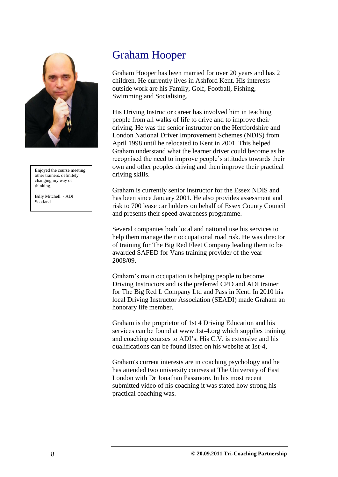

Enjoyed the course meeting other trainers. definitely changing my way of thinking.

Billy Mitchell - ADI Scotland

# Graham Hooper

Graham Hooper has been married for over 20 years and has 2 children. He currently lives in Ashford Kent. His interests outside work are his Family, Golf, Football, Fishing, Swimming and Socialising.

His Driving Instructor career has involved him in teaching people from all walks of life to drive and to improve their driving. He was the senior instructor on the Hertfordshire and London National Driver Improvement Schemes (NDIS) from April 1998 until he relocated to Kent in 2001. This helped Graham understand what the learner driver could become as he recognised the need to improve people's attitudes towards their own and other peoples driving and then improve their practical driving skills.

Graham is currently senior instructor for the Essex NDIS and has been since January 2001. He also provides assessment and risk to 700 lease car holders on behalf of Essex County Council and presents their speed awareness programme.

Several companies both local and national use his services to help them manage their occupational road risk. He was director of training for The Big Red Fleet Company leading them to be awarded SAFED for Vans training provider of the year 2008/09.

Graham"s main occupation is helping people to become Driving Instructors and is the preferred CPD and ADI trainer for The Big Red L Company Ltd and Pass in Kent. In 2010 his local Driving Instructor Association (SEADI) made Graham an honorary life member.

Graham is the proprietor of 1st 4 Driving Education and his services can be found at www.1st-4.org which supplies training and coaching courses to ADI"s. His C.V. is extensive and his qualifications can be found listed on his website at 1st-4,

Graham's current interests are in coaching psychology and he has attended two university courses at The University of East London with Dr Jonathan Passmore. In his most recent submitted video of his coaching it was stated how strong his practical coaching was.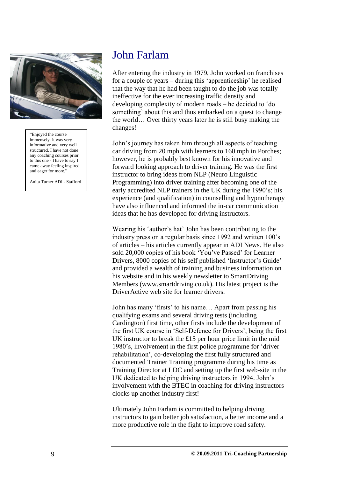

"Enjoyed the course immensely. It was very informative and very well structured. I have not done any coaching courses prior to this one - I have to say I came away feeling inspired and eager for more.

Anita Turner ADI - Stafford

## John Farlam

After entering the industry in 1979, John worked on franchises for a couple of years – during this "apprenticeship" he realised that the way that he had been taught to do the job was totally ineffective for the ever increasing traffic density and developing complexity of modern roads – he decided to "do something' about this and thus embarked on a quest to change the world… Over thirty years later he is still busy making the changes!

John"s journey has taken him through all aspects of teaching car driving from 20 mph with learners to 160 mph in Porches; however, he is probably best known for his innovative and forward looking approach to driver training. He was the first instructor to bring ideas from NLP (Neuro Linguistic Programming) into driver training after becoming one of the early accredited NLP trainers in the UK during the 1990"s; his experience (and qualification) in counselling and hypnotherapy have also influenced and informed the in-car communication ideas that he has developed for driving instructors.

Wearing his 'author's hat' John has been contributing to the industry press on a regular basis since 1992 and written 100"s of articles – his articles currently appear in ADI News. He also sold 20,000 copies of his book "You"ve Passed" for Learner Drivers, 8000 copies of his self published 'Instructor's Guide' and provided a wealth of training and business information on his website and in his weekly newsletter to SmartDriving Members (www.smartdriving.co.uk). His latest project is the DriverActive web site for learner drivers.

John has many "firsts" to his name… Apart from passing his qualifying exams and several driving tests (including Cardington) first time, other firsts include the development of the first UK course in "Self-Defence for Drivers", being the first UK instructor to break the £15 per hour price limit in the mid 1980"s, involvement in the first police programme for "driver rehabilitation", co-developing the first fully structured and documented Trainer Training programme during his time as Training Director at LDC and setting up the first web-site in the UK dedicated to helping driving instructors in 1994. John"s involvement with the BTEC in coaching for driving instructors clocks up another industry first!

Ultimately John Farlam is committed to helping driving instructors to gain better job satisfaction, a better income and a more productive role in the fight to improve road safety.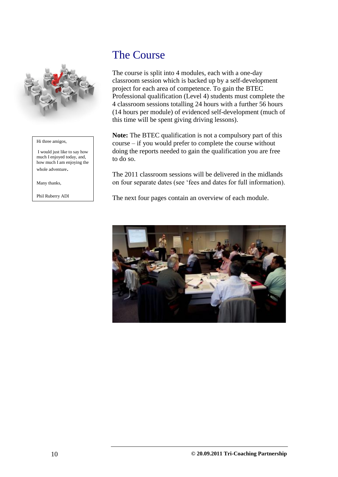

#### Hi three amigos,

I would just like to say how much I enjoyed today, and, how much I am enjoying the whole adventure.

Many thanks,

Phil Ruberry ADI

# The Course

The course is split into 4 modules, each with a one-day classroom session which is backed up by a self-development project for each area of competence. To gain the BTEC Professional qualification (Level 4) students must complete the 4 classroom sessions totalling 24 hours with a further 56 hours (14 hours per module) of evidenced self-development (much of this time will be spent giving driving lessons).

**Note:** The BTEC qualification is not a compulsory part of this course – if you would prefer to complete the course without doing the reports needed to gain the qualification you are free to do so.

The 2011 classroom sessions will be delivered in the midlands on four separate dates (see "fees and dates for full information).

The next four pages contain an overview of each module.

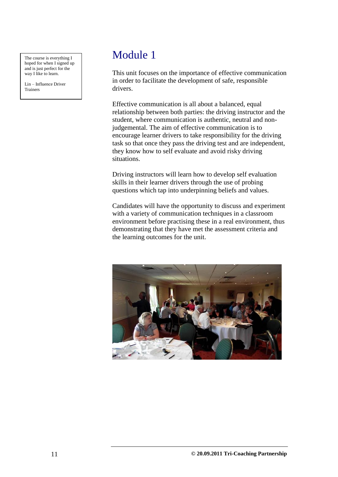The course is everything I hoped for when I signed up and is just perfect for the way I like to learn.

Lin – Influence Driver Trainers

# Module 1

This unit focuses on the importance of effective communication in order to facilitate the development of safe, responsible drivers.

Effective communication is all about a balanced, equal relationship between both parties: the driving instructor and the student, where communication is authentic, neutral and nonjudgemental. The aim of effective communication is to encourage learner drivers to take responsibility for the driving task so that once they pass the driving test and are independent, they know how to self evaluate and avoid risky driving situations.

Driving instructors will learn how to develop self evaluation skills in their learner drivers through the use of probing questions which tap into underpinning beliefs and values.

Candidates will have the opportunity to discuss and experiment with a variety of communication techniques in a classroom environment before practising these in a real environment, thus demonstrating that they have met the assessment criteria and the learning outcomes for the unit.

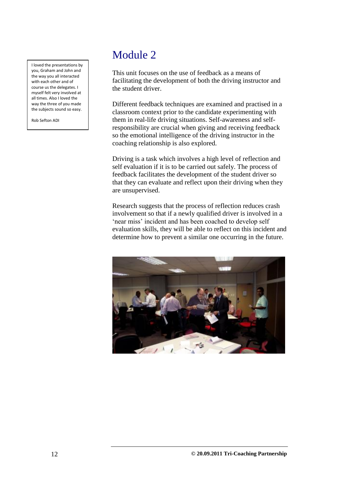I loved the presentations by you, Graham and John and the way you all interacted with each other and of course us the delegates. I myself felt very involved at all times. Also I loved the way the three of you made the subjects sound so easy.

Rob Sefton ADI

# Module 2

This unit focuses on the use of feedback as a means of facilitating the development of both the driving instructor and the student driver.

Different feedback techniques are examined and practised in a classroom context prior to the candidate experimenting with them in real-life driving situations. Self-awareness and selfresponsibility are crucial when giving and receiving feedback so the emotional intelligence of the driving instructor in the coaching relationship is also explored.

Driving is a task which involves a high level of reflection and self evaluation if it is to be carried out safely. The process of feedback facilitates the development of the student driver so that they can evaluate and reflect upon their driving when they are unsupervised.

Research suggests that the process of reflection reduces crash involvement so that if a newly qualified driver is involved in a 'near miss' incident and has been coached to develop self evaluation skills, they will be able to reflect on this incident and determine how to prevent a similar one occurring in the future.

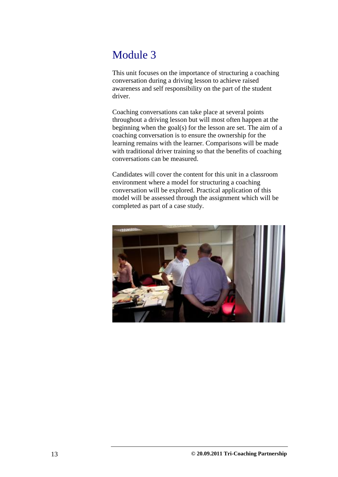# Module 3

This unit focuses on the importance of structuring a coaching conversation during a driving lesson to achieve raised awareness and self responsibility on the part of the student driver.

Coaching conversations can take place at several points throughout a driving lesson but will most often happen at the beginning when the goal(s) for the lesson are set. The aim of a coaching conversation is to ensure the ownership for the learning remains with the learner. Comparisons will be made with traditional driver training so that the benefits of coaching conversations can be measured.

Candidates will cover the content for this unit in a classroom environment where a model for structuring a coaching conversation will be explored. Practical application of this model will be assessed through the assignment which will be completed as part of a case study.

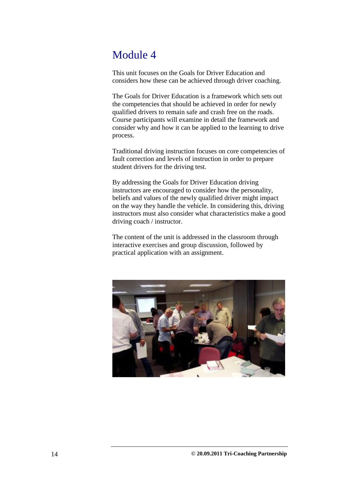# Module 4

This unit focuses on the Goals for Driver Education and considers how these can be achieved through driver coaching.

The Goals for Driver Education is a framework which sets out the competencies that should be achieved in order for newly qualified drivers to remain safe and crash free on the roads. Course participants will examine in detail the framework and consider why and how it can be applied to the learning to drive process.

Traditional driving instruction focuses on core competencies of fault correction and levels of instruction in order to prepare student drivers for the driving test.

By addressing the Goals for Driver Education driving instructors are encouraged to consider how the personality, beliefs and values of the newly qualified driver might impact on the way they handle the vehicle. In considering this, driving instructors must also consider what characteristics make a good driving coach / instructor.

The content of the unit is addressed in the classroom through interactive exercises and group discussion, followed by practical application with an assignment.

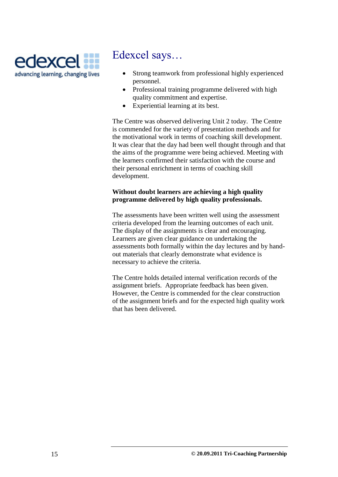

# Edexcel says…

- Strong teamwork from professional highly experienced personnel.
- Professional training programme delivered with high quality commitment and expertise.
- Experiential learning at its best.

The Centre was observed delivering Unit 2 today. The Centre is commended for the variety of presentation methods and for the motivational work in terms of coaching skill development. It was clear that the day had been well thought through and that the aims of the programme were being achieved. Meeting with the learners confirmed their satisfaction with the course and their personal enrichment in terms of coaching skill development.

### **Without doubt learners are achieving a high quality programme delivered by high quality professionals.**

The assessments have been written well using the assessment criteria developed from the learning outcomes of each unit. The display of the assignments is clear and encouraging. Learners are given clear guidance on undertaking the assessments both formally within the day lectures and by handout materials that clearly demonstrate what evidence is necessary to achieve the criteria.

The Centre holds detailed internal verification records of the assignment briefs. Appropriate feedback has been given. However, the Centre is commended for the clear construction of the assignment briefs and for the expected high quality work that has been delivered.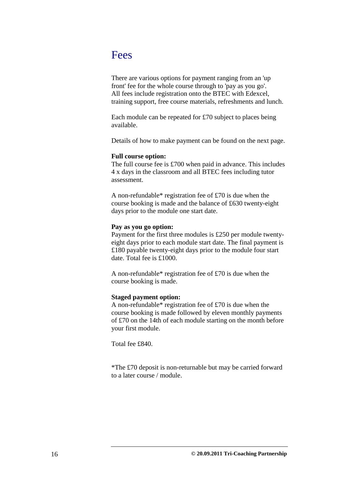### Fees

There are various options for payment ranging from an 'up front' fee for the whole course through to 'pay as you go'. All fees include registration onto the BTEC with Edexcel, training support, free course materials, refreshments and lunch.

Each module can be repeated for £70 subject to places being available.

Details of how to make payment can be found on the next page.

#### **Full course option:**

The full course fee is £700 when paid in advance. This includes 4 x days in the classroom and all BTEC fees including tutor assessment.

A non-refundable\* registration fee of £70 is due when the course booking is made and the balance of £630 twenty-eight days prior to the module one start date.

#### **Pay as you go option:**

Payment for the first three modules is £250 per module twentyeight days prior to each module start date. The final payment is £180 payable twenty-eight days prior to the module four start date. Total fee is £1000.

A non-refundable\* registration fee of £70 is due when the course booking is made.

#### **Staged payment option:**

A non-refundable\* registration fee of £70 is due when the course booking is made followed by eleven monthly payments of £70 on the 14th of each module starting on the month before your first module.

Total fee £840.

\*The £70 deposit is non-returnable but may be carried forward to a later course / module.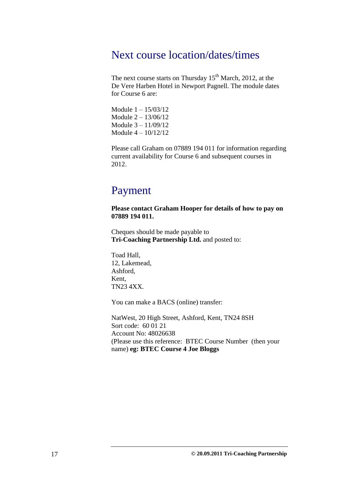### Next course location/dates/times

The next course starts on Thursday 15<sup>th</sup> March, 2012, at the De Vere Harben Hotel in Newport Pagnell. The module dates for Course 6 are:

Module 1 – 15/03/12 Module 2 – 13/06/12 Module 3 – 11/09/12 Module 4 – 10/12/12

Please call Graham on 07889 194 011 for information regarding current availability for Course 6 and subsequent courses in 2012.

### Payment

**Please contact Graham Hooper for details of how to pay on 07889 194 011.**

Cheques should be made payable to **Tri-Coaching Partnership Ltd.** and posted to:

Toad Hall, 12, Lakemead, Ashford, Kent, TN23 4XX.

You can make a BACS (online) transfer:

NatWest, 20 High Street, Ashford, Kent, TN24 8SH Sort code: 60 01 21 Account No: 48026638 (Please use this reference: BTEC Course Number (then your name) **eg: BTEC Course 4 Joe Bloggs**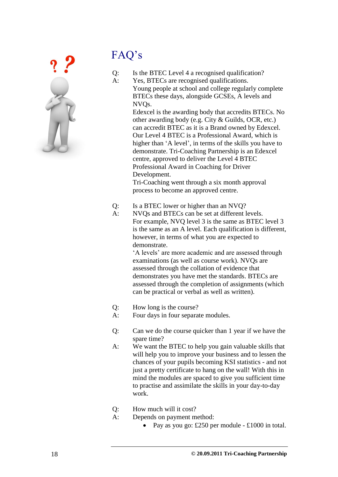

# FAQ"s

Q: Is the BTEC Level 4 a recognised qualification?

A: Yes, BTECs are recognised qualifications. Young people at school and college regularly complete BTECs these days, alongside GCSEs, A levels and NVQs.

> Edexcel is the awarding body that accredits BTECs. No other awarding body (e.g. City & Guilds, OCR, etc.) can accredit BTEC as it is a Brand owned by Edexcel. Our Level 4 BTEC is a Professional Award, which is higher than 'A level', in terms of the skills you have to demonstrate. Tri-Coaching Partnership is an Edexcel centre, approved to deliver the Level 4 BTEC Professional Award in Coaching for Driver Development.

Tri-Coaching went through a six month approval process to become an approved centre.

- Q: Is a BTEC lower or higher than an NVQ?
- A: NVQs and BTECs can be set at different levels. For example, NVQ level 3 is the same as BTEC level 3 is the same as an A level. Each qualification is different, however, in terms of what you are expected to demonstrate.

"A levels" are more academic and are assessed through examinations (as well as course work). NVQs are assessed through the collation of evidence that demonstrates you have met the standards. BTECs are assessed through the completion of assignments (which can be practical or verbal as well as written).

- Q: How long is the course?
- A: Four days in four separate modules.
- Q: Can we do the course quicker than 1 year if we have the spare time?
- A: We want the BTEC to help you gain valuable skills that will help you to improve your business and to lessen the chances of your pupils becoming KSI statistics - and not just a pretty certificate to hang on the wall! With this in mind the modules are spaced to give you sufficient time to practise and assimilate the skills in your day-to-day work.
- Q: How much will it cost?
- A: Depends on payment method:
	- Pay as you go:  $£250$  per module  $-£1000$  in total.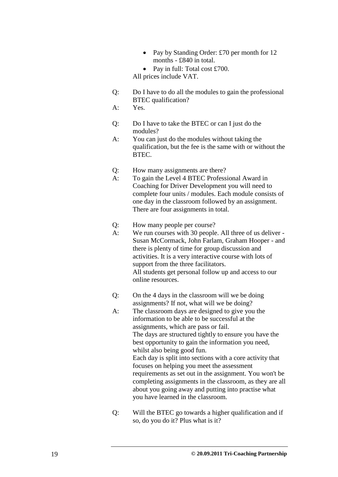• Pay by Standing Order: £70 per month for 12 months - £840 in total.

Pay in full: Total cost £700.

All prices include VAT.

Q: Do I have to do all the modules to gain the professional BTEC qualification?

A: Yes.

- Q: Do I have to take the BTEC or can I just do the modules?
- A: You can just do the modules without taking the qualification, but the fee is the same with or without the BTEC.
- Q: How many assignments are there?
- A: To gain the Level 4 BTEC Professional Award in Coaching for Driver Development you will need to complete four units / modules. Each module consists of one day in the classroom followed by an assignment. There are four assignments in total.
- Q: How many people per course?
- A: We run courses with 30 people. All three of us deliver Susan McCormack, John Farlam, Graham Hooper - and there is plenty of time for group discussion and activities. It is a very interactive course with lots of support from the three facilitators. All students get personal follow up and access to our online resources.
- Q: On the 4 days in the classroom will we be doing assignments? If not, what will we be doing?
- A: The classroom days are designed to give you the information to be able to be successful at the assignments, which are pass or fail. The days are structured tightly to ensure you have the best opportunity to gain the information you need, whilst also being good fun. Each day is split into sections with a core activity that focuses on helping you meet the assessment requirements as set out in the assignment. You won't be completing assignments in the classroom, as they are all about you going away and putting into practise what you have learned in the classroom.
- Q: Will the BTEC go towards a higher qualification and if so, do you do it? Plus what is it?